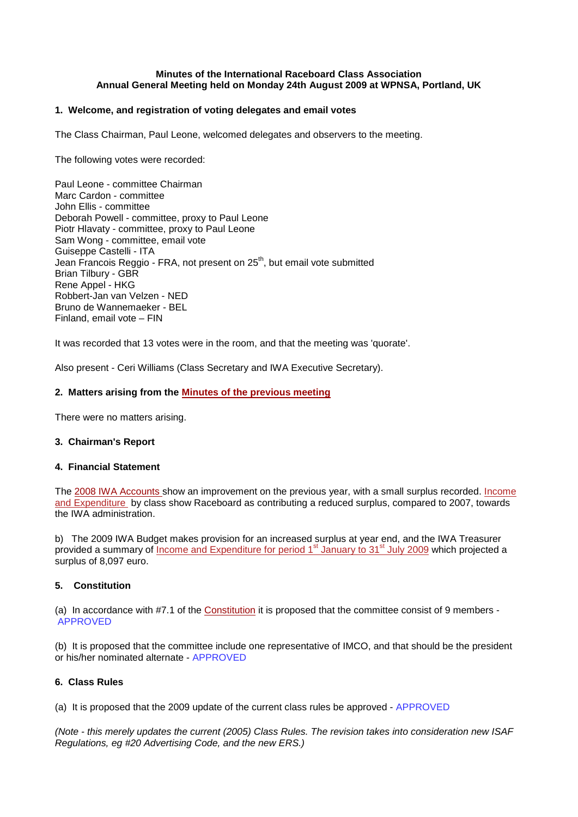### **Minutes of the International Raceboard Class Association Annual General Meeting held on Monday 24th August 2009 at WPNSA, Portland, UK**

# **1. Welcome, and registration of voting delegates and email votes**

The Class Chairman, Paul Leone, welcomed delegates and observers to the meeting.

The following votes were recorded:

Paul Leone - committee Chairman Marc Cardon - committee John Ellis - committee Deborah Powell - committee, proxy to Paul Leone Piotr Hlavaty - committee, proxy to Paul Leone Sam Wong - committee, email vote Guiseppe Castelli - ITA Jean Francois Reggio - FRA, not present on 25<sup>th</sup>, but email vote submitted Brian Tilbury - GBR Rene Appel - HKG Robbert-Jan van Velzen - NED Bruno de Wannemaeker - BEL Finland, email vote – FIN

It was recorded that 13 votes were in the room, and that the meeting was 'quorate'.

Also present - Ceri Williams (Class Secretary and IWA Executive Secretary).

## **2. Matters arising from the Minutes of [the previous meeting](http://www.raceboard.org/page0144v01.htm)**

There were no matters arising.

### **3. Chairman's Report**

### **4. Financial Statement**

The [2008 IWA Accounts](http://www.internationalwindsurfing.com/userfiles/documents/2008_Statutory_acs_IWA.pdf) show an improvement on the previous year, with a small surplus recorded. [Income](http://www.internationalwindsurfing.com/userfiles/documents/IandE_by_Class_2008.pdf)  [and Expenditure](http://www.internationalwindsurfing.com/userfiles/documents/IandE_by_Class_2008.pdf) by class show Raceboard as contributing a reduced surplus, compared to 2007, towards the IWA administration.

b) The 2009 IWA Budget makes provision for an increased surplus at year end, and the IWA Treasurer provided a summary of [Income and Expenditure](http://www.internationalwindsurfing.com/userfiles/documents/Finance_report_to_July_2009.pdf) for period 1<sup>st</sup> January to 31<sup>st</sup> [July 2009](http://www.internationalwindsurfing.com/userfiles/documents/Finance_report_to_July_2009.pdf) which projected a surplus of 8,097 euro.

# **5. Constitution**

(a) In accordance with #7.1 of the [Constitution](http://www.raceboard.org/page0047v01.htm) it is proposed that the committee consist of 9 members - APPROVED

(b) It is proposed that the committee include one representative of IMCO, and that should be the president or his/her nominated alternate - APPROVED

# **6. Class Rules**

(a) It is proposed that the 2009 update of the current class rules be approved - APPROVED

*(Note - this merely updates the current (2005) Class Rules. The revision takes into consideration new ISAF Regulations, eg #20 Advertising Code, and the new ERS.)*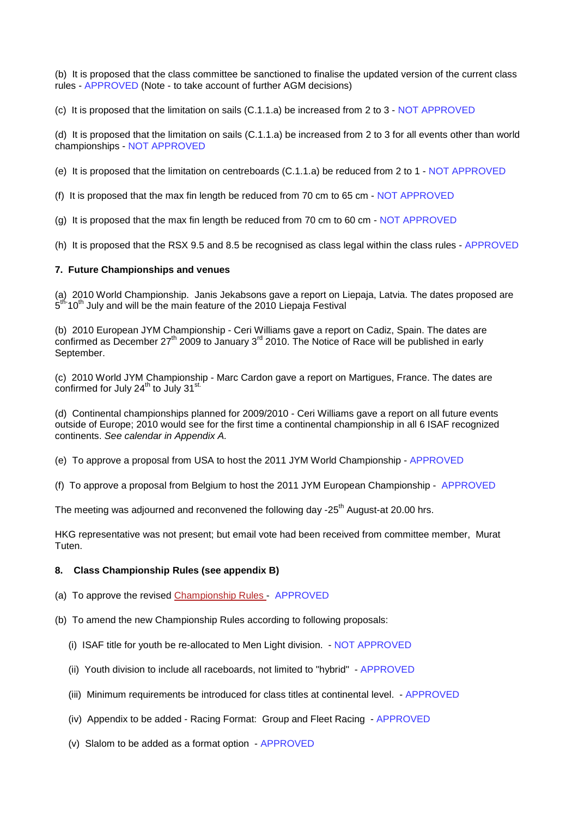(b) It is proposed that the class committee be sanctioned to finalise the updated version of the current class rules - APPROVED (Note - to take account of further AGM decisions)

(c) It is proposed that the limitation on sails (C.1.1.a) be increased from 2 to 3 - NOT APPROVED

(d) It is proposed that the limitation on sails (C.1.1.a) be increased from 2 to 3 for all events other than world championships - NOT APPROVED

(e) It is proposed that the limitation on centreboards (C.1.1.a) be reduced from 2 to 1 - NOT APPROVED

(f) It is proposed that the max fin length be reduced from 70 cm to 65 cm - NOT APPROVED

(g) It is proposed that the max fin length be reduced from 70 cm to 60 cm - NOT APPROVED

(h) It is proposed that the RSX 9.5 and 8.5 be recognised as class legal within the class rules - APPROVED

# **7. Future Championships and venues**

(a) 2010 World Championship. Janis Jekabsons gave a report on Liepaja, Latvia. The dates proposed are 5<sup>th-</sup>10<sup>th</sup> July and will be the main feature of the 2010 Liepaja Festival

(b) 2010 European JYM Championship - Ceri Williams gave a report on Cadiz, Spain. The dates are confirmed as December  $27<sup>th</sup>$  2009 to January 3<sup>rd</sup> 2010. The Notice of Race will be published in early September.

(c) 2010 World JYM Championship - Marc Cardon gave a report on Martigues, France. The dates are confirmed for July  $24^{\text{th}}$  to July  $31^{\text{st}}$ 

(d) Continental championships planned for 2009/2010 - Ceri Williams gave a report on all future events outside of Europe; 2010 would see for the first time a continental championship in all 6 ISAF recognized continents. *See calendar in Appendix A.*

(e) To approve a proposal from USA to host the 2011 JYM World Championship - APPROVED

(f) To approve a proposal from Belgium to host the 2011 JYM European Championship - APPROVED

The meeting was adjourned and reconvened the following day  $-25<sup>th</sup>$  August-at 20.00 hrs.

HKG representative was not present; but email vote had been received from committee member, Murat Tuten.

### **8. Class Championship Rules (see appendix B)**

(a) To approve the revised [Championship Rules](http://www.internationalwindsurfing.com/userfiles/documents/2009_Championship_Rules_RB_IMCO.pdf) - APPROVED

- (b) To amend the new Championship Rules according to following proposals:
	- (i) ISAF title for youth be re-allocated to Men Light division. NOT APPROVED
	- (ii) Youth division to include all raceboards, not limited to "hybrid" APPROVED
	- (iii) Minimum requirements be introduced for class titles at continental level. APPROVED
	- (iv) Appendix to be added Racing Format: Group and Fleet Racing APPROVED
	- (v) Slalom to be added as a format option APPROVED